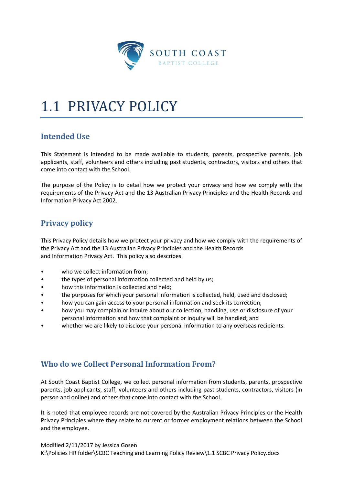

# 1.1 PRIVACY POLICY

# **Intended Use**

This Statement is intended to be made available to students, parents, prospective parents, job applicants, staff, volunteers and others including past students, contractors, visitors and others that come into contact with the School.

The purpose of the Policy is to detail how we protect your privacy and how we comply with the requirements of the Privacy Act and the 13 Australian Privacy Principles and the Health Records and Information Privacy Act 2002.

# **Privacy policy**

This Privacy Policy details how we protect your privacy and how we comply with the requirements of the Privacy Act and the 13 Australian Privacy Principles and the Health Records and Information Privacy Act. This policy also describes:

- who we collect information from;
- the types of personal information collected and held by us;
- how this information is collected and held;
- the purposes for which your personal information is collected, held, used and disclosed;
- how you can gain access to your personal information and seek its correction;
- how you may complain or inquire about our collection, handling, use or disclosure of your personal information and how that complaint or inquiry will be handled; and
- whether we are likely to disclose your personal information to any overseas recipients.

# **Who do we Collect Personal Information From?**

At South Coast Baptist College, we collect personal information from students, parents, prospective parents, job applicants, staff, volunteers and others including past students, contractors, visitors (in person and online) and others that come into contact with the School.

It is noted that employee records are not covered by the Australian Privacy Principles or the Health Privacy Principles where they relate to current or former employment relations between the School and the employee.

Modified 2/11/2017 by Jessica Gosen K:\Policies HR folder\SCBC Teaching and Learning Policy Review\1.1 SCBC Privacy Policy.docx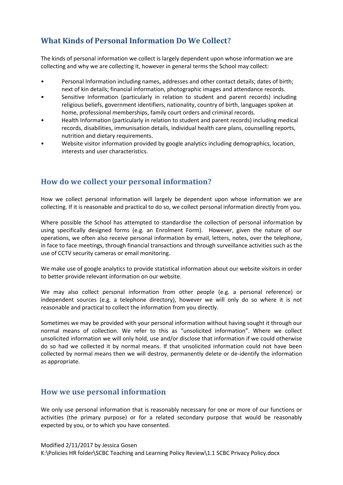# **What Kinds of Personal Information Do We Collect?**

The kinds of personal information we collect is largely dependent upon whose information we are collecting and why we are collecting it, however in general terms the School may collect:

- Personal Information including names, addresses and other contact details; dates of birth; next of kin details; financial information, photographic images and attendance records.
- Sensitive Information (particularly in relation to student and parent records) including religious beliefs, government identifiers, nationality, country of birth, languages spoken at home, professional memberships, family court orders and criminal records.
- Health Information (particularly in relation to student and parent records) including medical records, disabilities, immunisation details, individual health care plans, counselling reports, nutrition and dietary requirements.
- Website visitor information provided by google analytics including demographics, location, interests and user characteristics.

## **How do we collect your personal information?**

How we collect personal information will largely be dependent upon whose information we are collecting. If it is reasonable and practical to do so, we collect personal information directly from you.

Where possible the School has attempted to standardise the collection of personal information by using specifically designed forms (e.g. an Enrolment Form). However, given the nature of our operations, we often also receive personal information by email, letters, notes, over the telephone, in face to face meetings, through financial transactions and through surveillance activities such as the use of CCTV security cameras or email monitoring.

We make use of google analytics to provide statistical information about our website visitors in order to better provide relevant information on our website.

We may also collect personal information from other people (e.g. a personal reference) or independent sources (e.g. a telephone directory), however we will only do so where it is not reasonable and practical to collect the information from you directly.

Sometimes we may be provided with your personal information without having sought it through our normal means of collection. We refer to this as "unsolicited information". Where we collect unsolicited information we will only hold, use and/or disclose that information if we could otherwise do so had we collected it by normal means. If that unsolicited information could not have been collected by normal means then we will destroy, permanently delete or de-identify the information as appropriate.

### **How we use personal information**

We only use personal information that is reasonably necessary for one or more of our functions or activities (the primary purpose) or for a related secondary purpose that would be reasonably expected by you, or to which you have consented.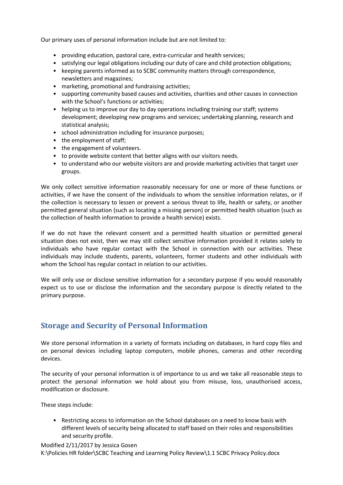Our primary uses of personal information include but are not limited to:

- providing education, pastoral care, extra-curricular and health services;
- satisfying our legal obligations including our duty of care and child protection obligations;
- keeping parents informed as to SCBC community matters through correspondence, newsletters and magazines;
- marketing, promotional and fundraising activities;
- supporting community based causes and activities, charities and other causes in connection with the School's functions or activities;
- helping us to improve our day to day operations including training our staff; systems development; developing new programs and services; undertaking planning, research and statistical analysis;
- school administration including for insurance purposes;
- the employment of staff;
- the engagement of volunteers.
- to provide website content that better aligns with our visitors needs.
- to understand who our website visitors are and provide marketing activities that target user groups.

We only collect sensitive information reasonably necessary for one or more of these functions or activities, if we have the consent of the individuals to whom the sensitive information relates, or if the collection is necessary to lessen or prevent a serious threat to life, health or safety, or another permitted general situation (such as locating a missing person) or permitted health situation (such as the collection of health information to provide a health service) exists.

If we do not have the relevant consent and a permitted health situation or permitted general situation does not exist, then we may still collect sensitive information provided it relates solely to individuals who have regular contact with the School in connection with our activities. These individuals may include students, parents, volunteers, former students and other individuals with whom the School has regular contact in relation to our activities.

We will only use or disclose sensitive information for a secondary purpose if you would reasonably expect us to use or disclose the information and the secondary purpose is directly related to the primary purpose.

## **Storage and Security of Personal Information**

We store personal information in a variety of formats including on databases, in hard copy files and on personal devices including laptop computers, mobile phones, cameras and other recording devices.

The security of your personal information is of importance to us and we take all reasonable steps to protect the personal information we hold about you from misuse, loss, unauthorised access, modification or disclosure.

These steps include:

• Restricting access to information on the School databases on a need to know basis with different levels of security being allocated to staff based on their roles and responsibilities and security profile.

Modified 2/11/2017 by Jessica Gosen K:\Policies HR folder\SCBC Teaching and Learning Policy Review\1.1 SCBC Privacy Policy.docx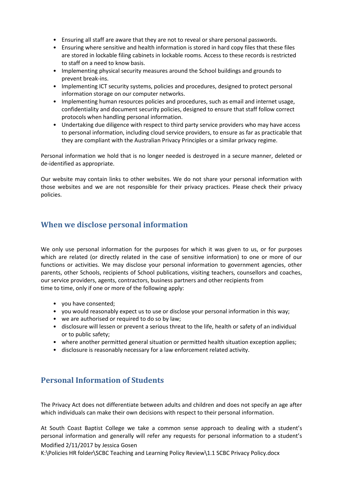- Ensuring all staff are aware that they are not to reveal or share personal passwords.
- Ensuring where sensitive and health information is stored in hard copy files that these files are stored in lockable filing cabinets in lockable rooms. Access to these records is restricted to staff on a need to know basis.
- Implementing physical security measures around the School buildings and grounds to prevent break-ins.
- Implementing ICT security systems, policies and procedures, designed to protect personal information storage on our computer networks.
- Implementing human resources policies and procedures, such as email and internet usage, confidentiality and document security policies, designed to ensure that staff follow correct protocols when handling personal information.
- Undertaking due diligence with respect to third party service providers who may have access to personal information, including cloud service providers, to ensure as far as practicable that they are compliant with the Australian Privacy Principles or a similar privacy regime.

Personal information we hold that is no longer needed is destroyed in a secure manner, deleted or de-identified as appropriate.

Our website may contain links to other websites. We do not share your personal information with those websites and we are not responsible for their privacy practices. Please check their privacy policies.

## **When we disclose personal information**

We only use personal information for the purposes for which it was given to us, or for purposes which are related (or directly related in the case of sensitive information) to one or more of our functions or activities. We may disclose your personal information to government agencies, other parents, other Schools, recipients of School publications, visiting teachers, counsellors and coaches, our service providers, agents, contractors, business partners and other recipients from time to time, only if one or more of the following apply:

- you have consented;
- you would reasonably expect us to use or disclose your personal information in this way;
- we are authorised or required to do so by law;
- disclosure will lessen or prevent a serious threat to the life, health or safety of an individual or to public safety;
- where another permitted general situation or permitted health situation exception applies;
- disclosure is reasonably necessary for a law enforcement related activity.

# **Personal Information of Students**

The Privacy Act does not differentiate between adults and children and does not specify an age after which individuals can make their own decisions with respect to their personal information.

Modified 2/11/2017 by Jessica Gosen At South Coast Baptist College we take a common sense approach to dealing with a student's personal information and generally will refer any requests for personal information to a student's

K:\Policies HR folder\SCBC Teaching and Learning Policy Review\1.1 SCBC Privacy Policy.docx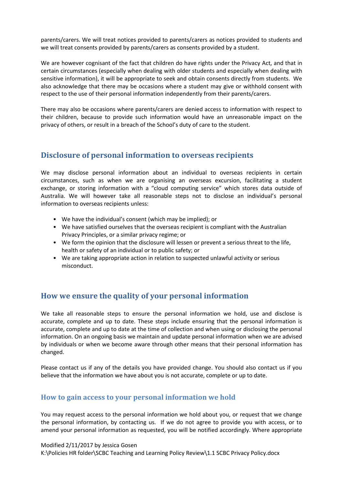parents/carers. We will treat notices provided to parents/carers as notices provided to students and we will treat consents provided by parents/carers as consents provided by a student.

We are however cognisant of the fact that children do have rights under the Privacy Act, and that in certain circumstances (especially when dealing with older students and especially when dealing with sensitive information), it will be appropriate to seek and obtain consents directly from students. We also acknowledge that there may be occasions where a student may give or withhold consent with respect to the use of their personal information independently from their parents/carers.

There may also be occasions where parents/carers are denied access to information with respect to their children, because to provide such information would have an unreasonable impact on the privacy of others, or result in a breach of the School's duty of care to the student.

## **Disclosure of personal information to overseas recipients**

We may disclose personal information about an individual to overseas recipients in certain circumstances, such as when we are organising an overseas excursion, facilitating a student exchange, or storing information with a "cloud computing service" which stores data outside of Australia. We will however take all reasonable steps not to disclose an individual's personal information to overseas recipients unless:

- We have the individual's consent (which may be implied); or
- We have satisfied ourselves that the overseas recipient is compliant with the Australian Privacy Principles, or a similar privacy regime; or
- We form the opinion that the disclosure will lessen or prevent a serious threat to the life, health or safety of an individual or to public safety; or
- We are taking appropriate action in relation to suspected unlawful activity or serious misconduct.

### **How we ensure the quality of your personal information**

We take all reasonable steps to ensure the personal information we hold, use and disclose is accurate, complete and up to date. These steps include ensuring that the personal information is accurate, complete and up to date at the time of collection and when using or disclosing the personal information. On an ongoing basis we maintain and update personal information when we are advised by individuals or when we become aware through other means that their personal information has changed.

Please contact us if any of the details you have provided change. You should also contact us if you believe that the information we have about you is not accurate, complete or up to date.

#### **How to gain access to your personal information we hold**

You may request access to the personal information we hold about you, or request that we change the personal information, by contacting us. If we do not agree to provide you with access, or to amend your personal information as requested, you will be notified accordingly. Where appropriate

Modified 2/11/2017 by Jessica Gosen K:\Policies HR folder\SCBC Teaching and Learning Policy Review\1.1 SCBC Privacy Policy.docx